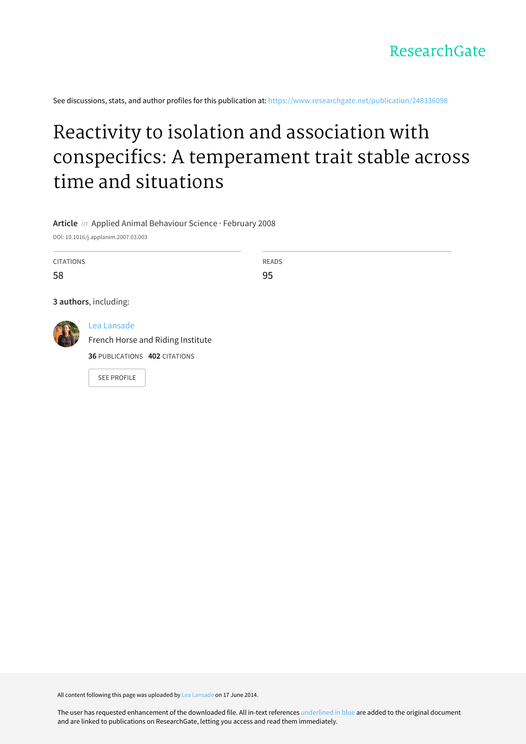See discussions, stats, and author profiles for this publication at: [https://www.researchgate.net/publication/248336098](https://www.researchgate.net/publication/248336098_Reactivity_to_isolation_and_association_with_conspecifics_A_temperament_trait_stable_across_time_and_situations?enrichId=rgreq-f42724535662fab1c31b8b8bbba25316-XXX&enrichSource=Y292ZXJQYWdlOzI0ODMzNjA5ODtBUzoxMTUwMDIyODc1OTU1MjFAMTQwNDQzMDA5MDYwNA%3D%3D&el=1_x_2&_esc=publicationCoverPdf)

# Reactivity to isolation and association with conspecifics: A [temperament](https://www.researchgate.net/publication/248336098_Reactivity_to_isolation_and_association_with_conspecifics_A_temperament_trait_stable_across_time_and_situations?enrichId=rgreq-f42724535662fab1c31b8b8bbba25316-XXX&enrichSource=Y292ZXJQYWdlOzI0ODMzNjA5ODtBUzoxMTUwMDIyODc1OTU1MjFAMTQwNDQzMDA5MDYwNA%3D%3D&el=1_x_3&_esc=publicationCoverPdf) trait stable across time and situations

# **Article** in Applied Animal Behaviour Science · February 2008

DOI: 10.1016/j.applanim.2007.03.003

| CITATIONS             | READS |
|-----------------------|-------|
| 58                    | 95    |
|                       |       |
| 3 authors, including: |       |

Lea [Lansade](https://www.researchgate.net/profile/Lea_Lansade?enrichId=rgreq-f42724535662fab1c31b8b8bbba25316-XXX&enrichSource=Y292ZXJQYWdlOzI0ODMzNjA5ODtBUzoxMTUwMDIyODc1OTU1MjFAMTQwNDQzMDA5MDYwNA%3D%3D&el=1_x_5&_esc=publicationCoverPdf)

French Horse and Riding Institute

**36** PUBLICATIONS **402** CITATIONS

SEE [PROFILE](https://www.researchgate.net/profile/Lea_Lansade?enrichId=rgreq-f42724535662fab1c31b8b8bbba25316-XXX&enrichSource=Y292ZXJQYWdlOzI0ODMzNjA5ODtBUzoxMTUwMDIyODc1OTU1MjFAMTQwNDQzMDA5MDYwNA%3D%3D&el=1_x_7&_esc=publicationCoverPdf)

All content following this page was uploaded by Lea [Lansade](https://www.researchgate.net/profile/Lea_Lansade?enrichId=rgreq-f42724535662fab1c31b8b8bbba25316-XXX&enrichSource=Y292ZXJQYWdlOzI0ODMzNjA5ODtBUzoxMTUwMDIyODc1OTU1MjFAMTQwNDQzMDA5MDYwNA%3D%3D&el=1_x_10&_esc=publicationCoverPdf) on 17 June 2014.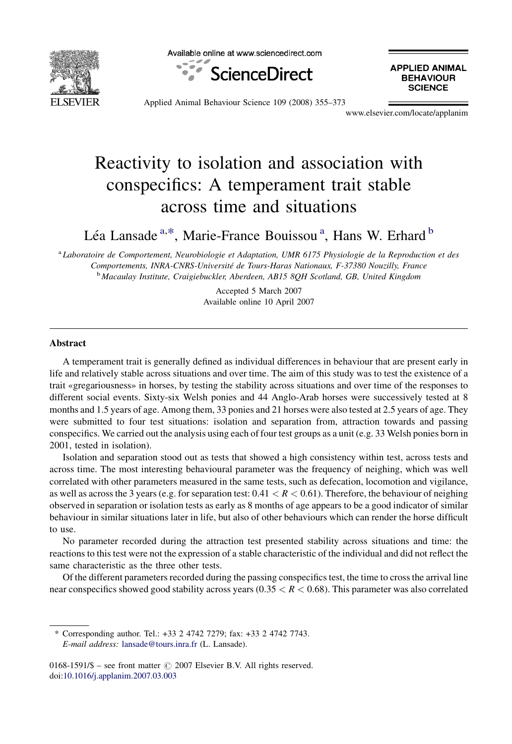

Available online at www.sciencedirect.com



**APPLIED ANIMAL REHAVIOUR SCIENCE** 

Applied Animal Behaviour Science 109 (2008) 355–373

www.elsevier.com/locate/applanim

# Reactivity to isolation and association with conspecifics: A temperament trait stable across time and situations

Léa Lansade <sup>a,\*</sup>, Marie-France Bouissou<sup>a</sup>, Hans W. Erhard <sup>b</sup>

<sup>a</sup> Laboratoire de Comportement, Neurobiologie et Adaptation, UMR 6175 Physiologie de la Reproduction et des Comportements, INRA-CNRS-Universite´ de Tours-Haras Nationaux, F-37380 Nouzilly, France <sup>b</sup> Macaulay Institute, Craigiebuckler, Aberdeen, AB15 8QH Scotland, GB, United Kingdom

> Accepted 5 March 2007 Available online 10 April 2007

# Abstract

A temperament trait is generally defined as individual differences in behaviour that are present early in life and relatively stable across situations and over time. The aim of this study was to test the existence of a trait «gregariousness» in horses, by testing the stability across situations and over time of the responses to different social events. Sixty-six Welsh ponies and 44 Anglo-Arab horses were successively tested at 8 months and 1.5 years of age. Among them, 33 ponies and 21 horses were also tested at 2.5 years of age. They were submitted to four test situations: isolation and separation from, attraction towards and passing conspecifics. We carried out the analysis using each of four test groups as a unit (e.g. 33 Welsh ponies born in 2001, tested in isolation).

Isolation and separation stood out as tests that showed a high consistency within test, across tests and across time. The most interesting behavioural parameter was the frequency of neighing, which was well correlated with other parameters measured in the same tests, such as defecation, locomotion and vigilance, as well as across the 3 years (e.g. for separation test:  $0.41 < R < 0.61$ ). Therefore, the behaviour of neighing observed in separation or isolation tests as early as 8 months of age appears to be a good indicator of similar behaviour in similar situations later in life, but also of other behaviours which can render the horse difficult to use.

No parameter recorded during the attraction test presented stability across situations and time: the reactions to this test were not the expression of a stable characteristic of the individual and did not reflect the same characteristic as the three other tests.

Of the different parameters recorded during the passing conspecifics test, the time to cross the arrival line near conspecifics showed good stability across years  $(0.35 < R < 0.68)$ . This parameter was also correlated

\* Corresponding author. Tel.: +33 2 4742 7279; fax: +33 2 4742 7743. E-mail address: [lansade@tours.inra.fr](mailto:lansade@tours.inra.fr) (L. Lansade).

<sup>0168-1591/\$ –</sup> see front matter  $\odot$  2007 Elsevier B.V. All rights reserved. doi:[10.1016/j.applanim.2007.03.003](http://dx.doi.org/10.1016/j.applanim.2007.03.003)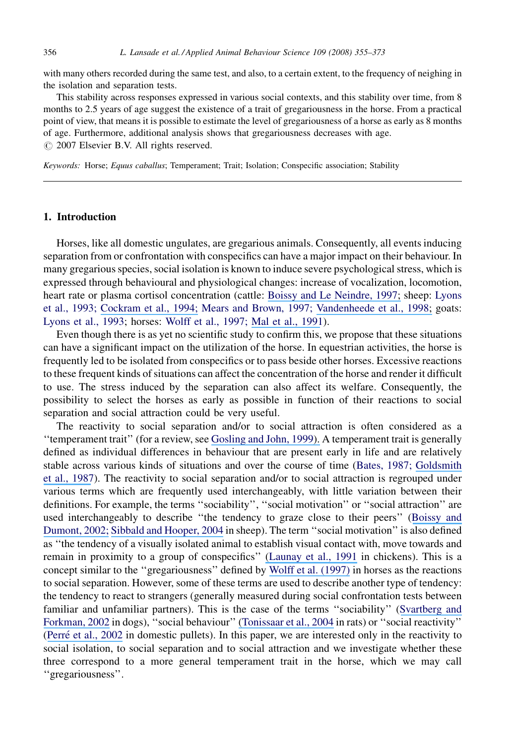with many others recorded during the same test, and also, to a certain extent, to the frequency of neighing in the isolation and separation tests.

This stability across responses expressed in various social contexts, and this stability over time, from 8 months to 2.5 years of age suggest the existence of a trait of gregariousness in the horse. From a practical point of view, that means it is possible to estimate the level of gregariousness of a horse as early as 8 months of age. Furthermore, additional analysis shows that gregariousness decreases with age.  $\circ$  2007 Elsevier B.V. All rights reserved.

Keywords: Horse; Equus caballus; Temperament; Trait; Isolation; Conspecific association; Stability

# 1. Introduction

Horses, like all domestic ungulates, are gregarious animals. Consequently, all events inducing separation from or confrontation with conspecifics can have a major impact on their behaviour. In many gregarious species, social isolation is known to induce severe psychological stress, which is expressed through behavioural and physiological changes: increase of vocalization, locomotion, heart rate or plasma cortisol concentration (cattle: [Boissy and Le Neindre, 1997](#page-18-0)[;](https://www.researchgate.net/publication/14072407_Behavioral_Cardiac_and_Cortisol_Responses_to_Brief_Peer_Separation_and_Reunion_in_Cattle?el=1_x_8&enrichId=rgreq-f42724535662fab1c31b8b8bbba25316-XXX&enrichSource=Y292ZXJQYWdlOzI0ODMzNjA5ODtBUzoxMTUwMDIyODc1OTU1MjFAMTQwNDQzMDA5MDYwNA==) sheep: [Lyons](#page-18-0) [et al., 1993; Cockram et al., 1994; Mears and Brown, 1997; Vandenheede et al., 1998](#page-18-0)[;](https://www.researchgate.net/publication/240398233_Interpretation_of_behavioural_reactions_of_sheep_towards_fear-eliciting_situations?el=1_x_8&enrichId=rgreq-f42724535662fab1c31b8b8bbba25316-XXX&enrichSource=Y292ZXJQYWdlOzI0ODMzNjA5ODtBUzoxMTUwMDIyODc1OTU1MjFAMTQwNDQzMDA5MDYwNA==) goats: [Lyons et al., 1993;](#page-18-0) horses: [Wolff et al., 1997; Mal et al., 1991](#page-19-0)).

Even though there is as yet no scientific study to confirm this, we propose that these situations can have a significant impact on the utilization of the horse. In equestrian activities, the horse is frequently led to be isolated from conspecifics or to pass beside other horses. Excessive reactions to these frequent kinds of situations can affect the concentration of the horse and render it difficult to use. The stress induced by the separation can also affect its welfare. Consequently, the possibility to select the horses as early as possible in function of their reactions to social separation and social attraction could be very useful.

The reactivity to social separation and/or to social attraction is often considered as a ''temperament trait'' (for a review, see [Gosling and John, 1999](#page-18-0)[\).](https://www.researchgate.net/publication/254081517_Personality_Dimensions_in_Nonhuman_AnimalsA_Cross-Species_Review?el=1_x_8&enrichId=rgreq-f42724535662fab1c31b8b8bbba25316-XXX&enrichSource=Y292ZXJQYWdlOzI0ODMzNjA5ODtBUzoxMTUwMDIyODc1OTU1MjFAMTQwNDQzMDA5MDYwNA==) A temperament trait is generally defined as individual differences in behaviour that are present early in life and are relatively stable across various kinds of situations and over the course of time ([Bates, 1987; Goldsmith](#page-18-0) [et al., 1987\)](#page-18-0). The reactivity to social separation and/or to social attraction is regrouped under various terms which are frequently used interchangeably, with little variation between their definitions. For example, the terms ''sociability'', ''social motivation'' or ''social attraction'' are used interchangeably to describe ''the tendency to graze close to their peers'' [\(Boissy and](#page-18-0) [Dumont, 2002; Sibbald and Hooper, 2004](#page-18-0) in sheep). The term ''social motivation'' is also defined as ''the tendency of a visually isolated animal to establish visual contact with, move towards and remain in proximity to a group of conspecifics'' [\(](https://www.researchgate.net/publication/223580796_Social_motivation_in_Japanese_quail_Coturnix_japonica_chicks_selected_for_high_or_low_levels_of_treadmill_behavior?el=1_x_8&enrichId=rgreq-f42724535662fab1c31b8b8bbba25316-XXX&enrichSource=Y292ZXJQYWdlOzI0ODMzNjA5ODtBUzoxMTUwMDIyODc1OTU1MjFAMTQwNDQzMDA5MDYwNA==)[Launay et al., 1991](#page-18-0) in chickens). This is a concept similar to the ''gregariousness'' defined by [Wolff et al. \(1997\)](#page-19-0) in horses as the reactions to social separation. However, some of these terms are used to describe another type of tendency: the tendency to react to strangers (generally measured during social confrontation tests between familiar and unfamiliar partners). This is the case of the terms ''sociability'' [\(Svartberg and](#page-19-0) [Forkman, 2002](#page-19-0) in dogs), ''social behaviour'' [\(](https://www.researchgate.net/publication/8375670_Sociability_trait_and_serotonin_metabolism_in_the_rat_social_interaction_test?el=1_x_8&enrichId=rgreq-f42724535662fab1c31b8b8bbba25316-XXX&enrichSource=Y292ZXJQYWdlOzI0ODMzNjA5ODtBUzoxMTUwMDIyODc1OTU1MjFAMTQwNDQzMDA5MDYwNA==)[Tonissaar et al., 2004](#page-19-0) in rats) or ''social reactivity'' (Perré [et al., 2002](#page-18-0) in domestic pullets). In this paper, we are interested only in the reactivity to social isolation, to social separation and to social attraction and we investigate whether these three correspond to a more general temperament trait in the horse, which we may call ''gregariousness''.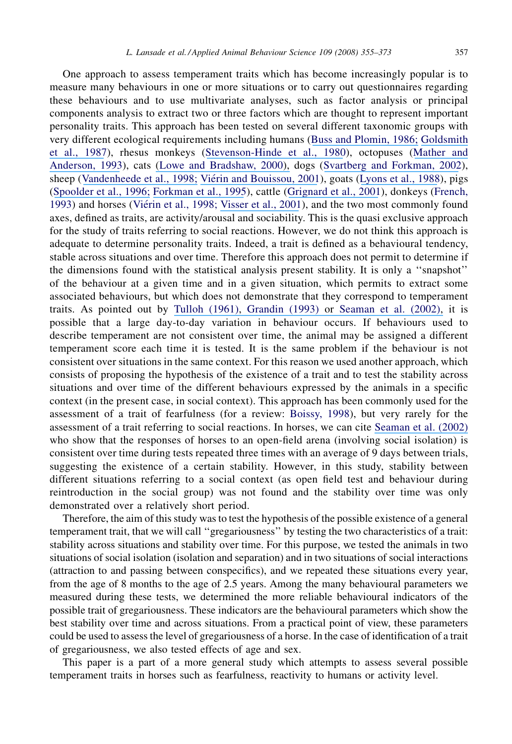One approach to assess temperament traits which has become increasingly popular is to measure many behaviours in one or more situations or to carry out questionnaires regarding these behaviours and to use multivariate analyses, such as factor analysis or principal components analysis to extract two or three factors which are thought to represent important personality traits. This approach has been tested on several different taxonomic groups with very different ecological requirements including humans [\(Buss and Plomin, 1986; Goldsmith](#page-18-0) [et al., 1987\)](#page-18-0), rhesus monkeys ([Stevenson-Hinde et al., 1980](#page-19-0)), octopuses ([Mather and](#page-18-0) [Anderson, 1993](#page-18-0)), cats [\(](https://www.researchgate.net/publication/12159066_Ontogeny_of_individuality_in_the_domestic_cat_in_the_home_environment?el=1_x_8&enrichId=rgreq-f42724535662fab1c31b8b8bbba25316-XXX&enrichSource=Y292ZXJQYWdlOzI0ODMzNjA5ODtBUzoxMTUwMDIyODc1OTU1MjFAMTQwNDQzMDA5MDYwNA==)[Lowe and Bradshaw, 2000](#page-18-0)[\),](https://www.researchgate.net/publication/12159066_Ontogeny_of_individuality_in_the_domestic_cat_in_the_home_environment?el=1_x_8&enrichId=rgreq-f42724535662fab1c31b8b8bbba25316-XXX&enrichSource=Y292ZXJQYWdlOzI0ODMzNjA5ODtBUzoxMTUwMDIyODc1OTU1MjFAMTQwNDQzMDA5MDYwNA==) dogs ([Svartberg and Forkman, 2002](#page-19-0)), sheep (Vandenheede et al., 1998; Viérin and Bouissou, 2001), goats ([Lyons et al., 1988](#page-18-0)), pigs ([Spoolder et al., 1996; Forkman et al., 1995](#page-19-0)), cattle ([Grignard et al., 2001](#page-18-0)), donkeys ([French,](#page-18-0) [1993\)](#page-18-0) and horses (Viérin et al., 1998; Visser et al., 2001), and the two most commonly found axes, defined as traits, are activity/arousal and sociability. This is the quasi exclusive approach for the study of traits referring to social reactions. However, we do not think this approach is adequate to determine personality traits. Indeed, a trait is defined as a behavioural tendency, stable across situations and over time. Therefore this approach does not permit to determine if the dimensions found with the statistical analysis present stability. It is only a ''snapshot'' of the behaviour at a given time and in a given situation, which permits to extract some associated behaviours, but which does not demonstrate that they correspond to temperament traits. As pointed out by [Tulloh \(1961\)](#page-19-0), [Grandin \(1993\)](#page-18-0) or [Seaman et al. \(2002\)](#page-19-0)[,](https://www.researchgate.net/publication/248333911_Behavioral_agitation_during_handling_of_cattle_is_persistent_over_time?el=1_x_8&enrichId=rgreq-f42724535662fab1c31b8b8bbba25316-XXX&enrichSource=Y292ZXJQYWdlOzI0ODMzNjA5ODtBUzoxMTUwMDIyODc1OTU1MjFAMTQwNDQzMDA5MDYwNA==) it is possible that a large day-to-day variation in behaviour occurs. If behaviours used to describe temperament are not consistent over time, the animal may be assigned a different temperament score each time it is tested. It is the same problem if the behaviour is not consistent over situations in the same context. For this reason we used another approach, which consists of proposing the hypothesis of the existence of a trait and to test the stability across situations and over time of the different behaviours expressed by the animals in a specific context (in the present case, in social context). This approach has been commonly used for the assessment of a trait of fearfulness (for a review: [Boissy, 1998\)](#page-18-0), but very rarely for the assessment of a trait referring to social reactions. In horses, we can cite [Seaman et al. \(2002\)](#page-19-0) who show that the responses of horses to an open-field arena (involving social isolation) is consistent over time during tests repeated three times with an average of 9 days between trials, suggesting the existence of a certain stability. However, in this study, stability between different situations referring to a social context (as open field test and behaviour during reintroduction in the social group) was not found and the stability over time was only demonstrated over a relatively short period.

Therefore, the aim of this study was to test the hypothesis of the possible existence of a general temperament trait, that we will call ''gregariousness'' by testing the two characteristics of a trait: stability across situations and stability over time. For this purpose, we tested the animals in two situations of social isolation (isolation and separation) and in two situations of social interactions (attraction to and passing between conspecifics), and we repeated these situations every year, from the age of 8 months to the age of 2.5 years. Among the many behavioural parameters we measured during these tests, we determined the more reliable behavioural indicators of the possible trait of gregariousness. These indicators are the behavioural parameters which show the best stability over time and across situations. From a practical point of view, these parameters could be used to assess the level of gregariousness of a horse. In the case of identification of a trait of gregariousness, we also tested effects of age and sex.

This paper is a part of a more general study which attempts to assess several possible temperament traits in horses such as fearfulness, reactivity to humans or activity level.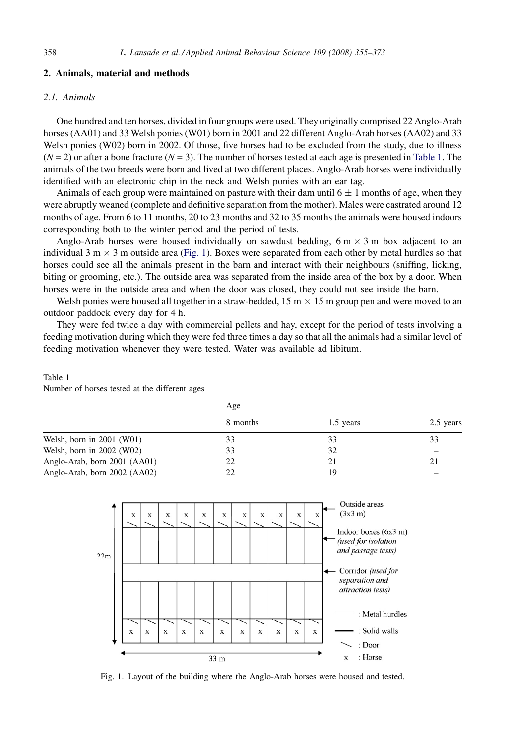#### <span id="page-4-0"></span>2. Animals, material and methods

#### 2.1. Animals

One hundred and ten horses, divided in four groups were used. They originally comprised 22 Anglo-Arab horses (AA01) and 33 Welsh ponies (W01) born in 2001 and 22 different Anglo-Arab horses (AA02) and 33 Welsh ponies (W02) born in 2002. Of those, five horses had to be excluded from the study, due to illness  $(N = 2)$  or after a bone fracture  $(N = 3)$ . The number of horses tested at each age is presented in Table 1. The animals of the two breeds were born and lived at two different places. Anglo-Arab horses were individually identified with an electronic chip in the neck and Welsh ponies with an ear tag.

Animals of each group were maintained on pasture with their dam until  $6 \pm 1$  months of age, when they were abruptly weaned (complete and definitive separation from the mother). Males were castrated around 12 months of age. From 6 to 11 months, 20 to 23 months and 32 to 35 months the animals were housed indoors corresponding both to the winter period and the period of tests.

Anglo-Arab horses were housed individually on sawdust bedding,  $6 \text{ m} \times 3 \text{ m}$  box adjacent to an individual 3 m  $\times$  3 m outside area (Fig. 1). Boxes were separated from each other by metal hurdles so that horses could see all the animals present in the barn and interact with their neighbours (sniffing, licking, biting or grooming, etc.). The outside area was separated from the inside area of the box by a door. When horses were in the outside area and when the door was closed, they could not see inside the barn.

Welsh ponies were housed all together in a straw-bedded,  $15 \text{ m} \times 15 \text{ m}$  group pen and were moved to an outdoor paddock every day for 4 h.

They were fed twice a day with commercial pellets and hay, except for the period of tests involving a feeding motivation during which they were fed three times a day so that all the animals had a similar level of feeding motivation whenever they were tested. Water was available ad libitum.

| Trainoci of horses tested at the different ages | Age      |           |           |
|-------------------------------------------------|----------|-----------|-----------|
|                                                 | 8 months | 1.5 years | 2.5 years |
| Welsh, born in $2001$ (W01)                     | 33       | 33        | 33        |
| Welsh, born in $2002$ (W02)                     | 33       | 32        |           |
| Anglo-Arab, born 2001 (AA01)                    | 22       | 21        | 21        |
| Anglo-Arab, born 2002 (AA02)                    | 22       | 19        |           |

#### Table 1 Number of horses tested at the different ages



Fig. 1. Layout of the building where the Anglo-Arab horses were housed and tested.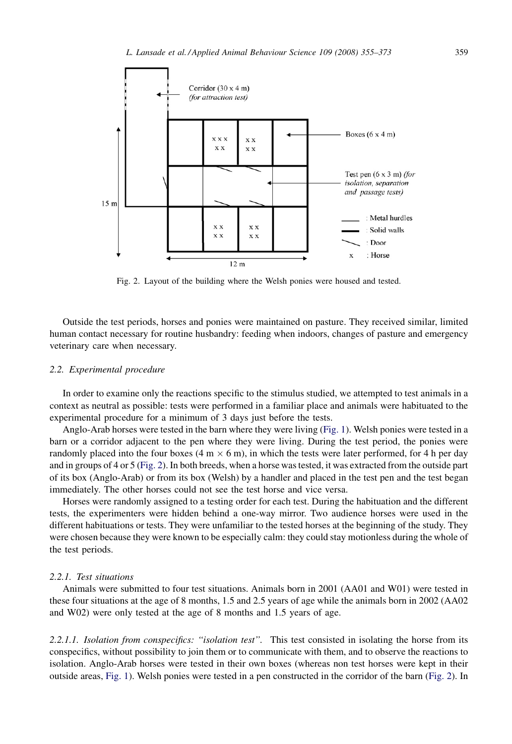

Fig. 2. Layout of the building where the Welsh ponies were housed and tested.

Outside the test periods, horses and ponies were maintained on pasture. They received similar, limited human contact necessary for routine husbandry: feeding when indoors, changes of pasture and emergency veterinary care when necessary.

#### 2.2. Experimental procedure

In order to examine only the reactions specific to the stimulus studied, we attempted to test animals in a context as neutral as possible: tests were performed in a familiar place and animals were habituated to the experimental procedure for a minimum of 3 days just before the tests.

Anglo-Arab horses were tested in the barn where they were living [\(Fig. 1](#page-4-0)). Welsh ponies were tested in a barn or a corridor adjacent to the pen where they were living. During the test period, the ponies were randomly placed into the four boxes (4 m  $\times$  6 m), in which the tests were later performed, for 4 h per day and in groups of 4 or 5 (Fig. 2). In both breeds, when a horse was tested, it was extracted from the outside part of its box (Anglo-Arab) or from its box (Welsh) by a handler and placed in the test pen and the test began immediately. The other horses could not see the test horse and vice versa.

Horses were randomly assigned to a testing order for each test. During the habituation and the different tests, the experimenters were hidden behind a one-way mirror. Two audience horses were used in the different habituations or tests. They were unfamiliar to the tested horses at the beginning of the study. They were chosen because they were known to be especially calm: they could stay motionless during the whole of the test periods.

#### 2.2.1. Test situations

Animals were submitted to four test situations. Animals born in 2001 (AA01 and W01) were tested in these four situations at the age of 8 months, 1.5 and 2.5 years of age while the animals born in 2002 (AA02 and W02) were only tested at the age of 8 months and 1.5 years of age.

2.2.1.1. Isolation from conspecifics: "isolation test". This test consisted in isolating the horse from its conspecifics, without possibility to join them or to communicate with them, and to observe the reactions to isolation. Anglo-Arab horses were tested in their own boxes (whereas non test horses were kept in their outside areas, [Fig. 1\)](#page-4-0). Welsh ponies were tested in a pen constructed in the corridor of the barn (Fig. 2). In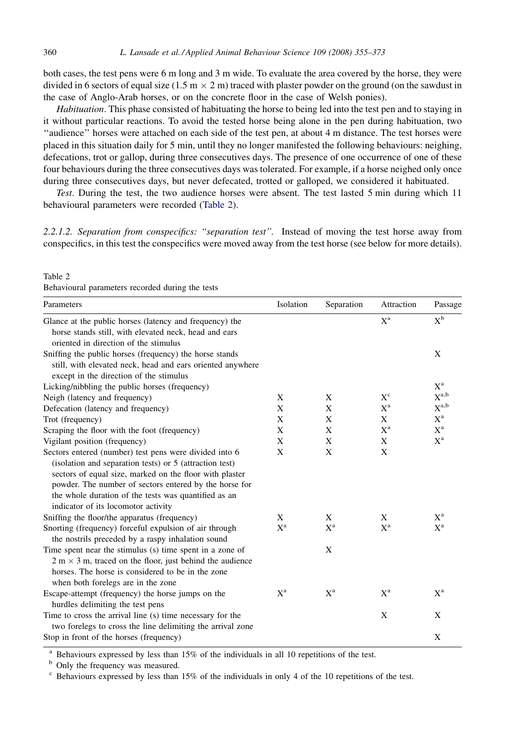<span id="page-6-0"></span>both cases, the test pens were 6 m long and 3 m wide. To evaluate the area covered by the horse, they were divided in 6 sectors of equal size (1.5 m  $\times$  2 m) traced with plaster powder on the ground (on the sawdust in the case of Anglo-Arab horses, or on the concrete floor in the case of Welsh ponies).

Habituation. This phase consisted of habituating the horse to being led into the test pen and to staying in it without particular reactions. To avoid the tested horse being alone in the pen during habituation, two ''audience'' horses were attached on each side of the test pen, at about 4 m distance. The test horses were placed in this situation daily for 5 min, until they no longer manifested the following behaviours: neighing, defecations, trot or gallop, during three consecutives days. The presence of one occurrence of one of these four behaviours during the three consecutives days was tolerated. For example, if a horse neighed only once during three consecutives days, but never defecated, trotted or galloped, we considered it habituated.

Test. During the test, the two audience horses were absent. The test lasted 5 min during which 11 behavioural parameters were recorded (Table 2).

2.2.1.2. Separation from conspecifics: ''separation test''. Instead of moving the test horse away from conspecifics, in this test the conspecifics were moved away from the test horse (see below for more details).

| Parameters                                                                                                                                                                                                                                                                                                                            | Isolation | Separation | Attraction       | Passage               |
|---------------------------------------------------------------------------------------------------------------------------------------------------------------------------------------------------------------------------------------------------------------------------------------------------------------------------------------|-----------|------------|------------------|-----------------------|
| Glance at the public horses (latency and frequency) the<br>horse stands still, with elevated neck, head and ears<br>oriented in direction of the stimulus                                                                                                                                                                             |           |            | $X^a$            | $\mathbf{X}^\text{b}$ |
| Sniffing the public horses (frequency) the horse stands<br>still, with elevated neck, head and ears oriented anywhere<br>except in the direction of the stimulus                                                                                                                                                                      |           |            |                  | X                     |
| Licking/nibbling the public horses (frequency)                                                                                                                                                                                                                                                                                        |           |            |                  | $X^a$                 |
| Neigh (latency and frequency)                                                                                                                                                                                                                                                                                                         | X         | X          | $X^c$            | $X^{a,b}$             |
| Defecation (latency and frequency)                                                                                                                                                                                                                                                                                                    | X         | X          | $X^{\mathrm{a}}$ | $X^{a,b}$             |
| Trot (frequency)                                                                                                                                                                                                                                                                                                                      | X         | X          | X                | $X^a$                 |
| Scraping the floor with the foot (frequency)                                                                                                                                                                                                                                                                                          | X         | X          | $X^a$            | $X^a$                 |
| Vigilant position (frequency)                                                                                                                                                                                                                                                                                                         | X         | X          | X                | $X^a$                 |
| Sectors entered (number) test pens were divided into 6<br>(isolation and separation tests) or 5 (attraction test)<br>sectors of equal size, marked on the floor with plaster<br>powder. The number of sectors entered by the horse for<br>the whole duration of the tests was quantified as an<br>indicator of its locomotor activity | X         | X          | X                |                       |
| Sniffing the floor/the apparatus (frequency)                                                                                                                                                                                                                                                                                          | X         | X          | X                | $X^a$                 |
| Snorting (frequency) forceful expulsion of air through<br>the nostrils preceded by a raspy inhalation sound                                                                                                                                                                                                                           | $X^a$     | $X^a$      | $X^a$            | $X^{\mathrm{a}}$      |
| Time spent near the stimulus (s) time spent in a zone of<br>$2 m \times 3 m$ , traced on the floor, just behind the audience<br>horses. The horse is considered to be in the zone<br>when both forelegs are in the zone                                                                                                               |           | X          |                  |                       |
| Escape-attempt (frequency) the horse jumps on the<br>hurdles delimiting the test pens                                                                                                                                                                                                                                                 | $X^a$     | $X^a$      | $X^a$            | $X^a$                 |
| Time to cross the arrival line (s) time necessary for the<br>two forelegs to cross the line delimiting the arrival zone                                                                                                                                                                                                               |           |            | X                | X                     |
| Stop in front of the horses (frequency)                                                                                                                                                                                                                                                                                               |           |            |                  | X                     |

Behavioural parameters recorded during the tests

<sup>a</sup> Behaviours expressed by less than 15% of the individuals in all 10 repetitions of the test.  $\frac{b}{c}$  Only the frequency was measured.

<sup>c</sup> Behaviours expressed by less than 15% of the individuals in only 4 of the 10 repetitions of the test.

Table 2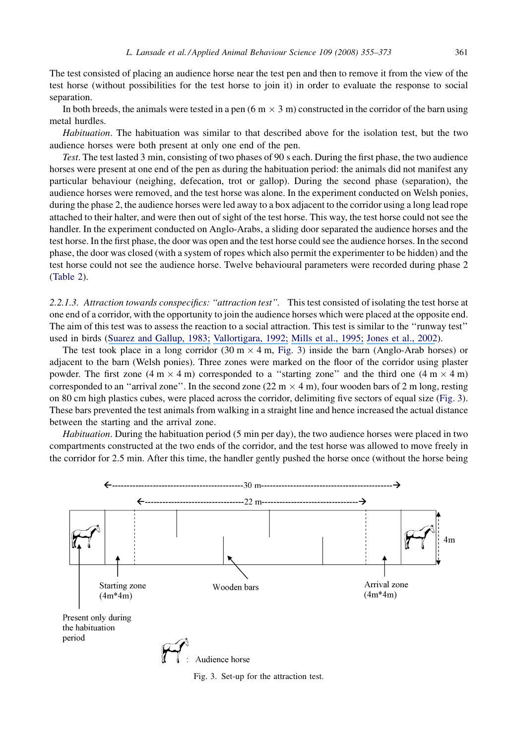The test consisted of placing an audience horse near the test pen and then to remove it from the view of the test horse (without possibilities for the test horse to join it) in order to evaluate the response to social separation.

In both breeds, the animals were tested in a pen  $(6 \text{ m} \times 3 \text{ m})$  constructed in the corridor of the barn using metal hurdles.

Habituation. The habituation was similar to that described above for the isolation test, but the two audience horses were both present at only one end of the pen.

Test. The test lasted 3 min, consisting of two phases of 90 s each. During the first phase, the two audience horses were present at one end of the pen as during the habituation period: the animals did not manifest any particular behaviour (neighing, defecation, trot or gallop). During the second phase (separation), the audience horses were removed, and the test horse was alone. In the experiment conducted on Welsh ponies, during the phase 2, the audience horses were led away to a box adjacent to the corridor using a long lead rope attached to their halter, and were then out of sight of the test horse. This way, the test horse could not see the handler. In the experiment conducted on Anglo-Arabs, a sliding door separated the audience horses and the test horse. In the first phase, the door was open and the test horse could see the audience horses. In the second phase, the door was closed (with a system of ropes which also permit the experimenter to be hidden) and the test horse could not see the audience horse. Twelve behavioural parameters were recorded during phase 2 [\(Table 2\)](#page-6-0).

2.2.1.3. Attraction towards conspecifics: "attraction test". This test consisted of isolating the test horse at one end of a corridor, with the opportunity to join the audience horses which were placed at the opposite end. The aim of this test was to assess the reaction to a social attraction. This test is similar to the ''runway test'' used in birds ([Suarez and Gallup, 1983; Vallortigara, 1992; Mills et al., 1995; Jones et al., 2002\)](#page-19-0).

The test took place in a long corridor  $(30 \text{ m} \times 4 \text{ m}$ , Fig. 3) inside the barn (Anglo-Arab horses) or adjacent to the barn (Welsh ponies). Three zones were marked on the floor of the corridor using plaster powder. The first zone  $(4 \text{ m} \times 4 \text{ m})$  corresponded to a "starting zone" and the third one  $(4 \text{ m} \times 4 \text{ m})$ corresponded to an "arrival zone". In the second zone (22 m  $\times$  4 m), four wooden bars of 2 m long, resting on 80 cm high plastics cubes, were placed across the corridor, delimiting five sectors of equal size (Fig. 3). These bars prevented the test animals from walking in a straight line and hence increased the actual distance between the starting and the arrival zone.

Habituation. During the habituation period (5 min per day), the two audience horses were placed in two compartments constructed at the two ends of the corridor, and the test horse was allowed to move freely in the corridor for 2.5 min. After this time, the handler gently pushed the horse once (without the horse being



Fig. 3. Set-up for the attraction test.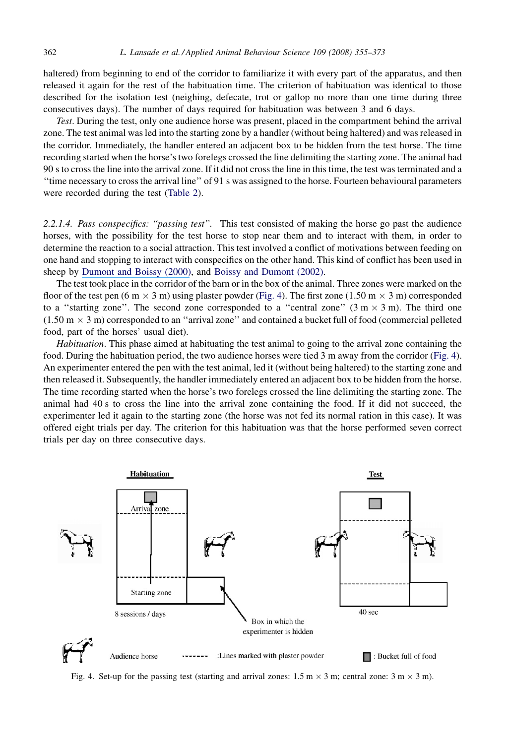haltered) from beginning to end of the corridor to familiarize it with every part of the apparatus, and then released it again for the rest of the habituation time. The criterion of habituation was identical to those described for the isolation test (neighing, defecate, trot or gallop no more than one time during three consecutives days). The number of days required for habituation was between 3 and 6 days.

Test. During the test, only one audience horse was present, placed in the compartment behind the arrival zone. The test animal was led into the starting zone by a handler (without being haltered) and was released in the corridor. Immediately, the handler entered an adjacent box to be hidden from the test horse. The time recording started when the horse's two forelegs crossed the line delimiting the starting zone. The animal had 90 s to cross the line into the arrival zone. If it did not cross the line in this time, the test was terminated and a ''time necessary to cross the arrival line'' of 91 s was assigned to the horse. Fourteen behavioural parameters were recorded during the test ([Table 2\)](#page-6-0).

2.2.1.4. Pass conspecifics: "passing test". This test consisted of making the horse go past the audience horses, with the possibility for the test horse to stop near them and to interact with them, in order to determine the reaction to a social attraction. This test involved a conflict of motivations between feeding on one hand and stopping to interact with conspecifics on the other hand. This kind of conflict has been used in sheep by [Dumont and Boissy \(2000\),](#page-18-0) and [Boissy and Dumont \(2002\).](#page-18-0)

The test took place in the corridor of the barn or in the box of the animal. Three zones were marked on the floor of the test pen (6 m  $\times$  3 m) using plaster powder (Fig. 4). The first zone (1.50 m  $\times$  3 m) corresponded to a "starting zone". The second zone corresponded to a "central zone" ( $3 \text{ m} \times 3 \text{ m}$ ). The third one  $(1.50 \text{ m} \times 3 \text{ m})$  corresponded to an "arrival zone" and contained a bucket full of food (commercial pelleted food, part of the horses' usual diet).

Habituation. This phase aimed at habituating the test animal to going to the arrival zone containing the food. During the habituation period, the two audience horses were tied 3 m away from the corridor (Fig. 4). An experimenter entered the pen with the test animal, led it (without being haltered) to the starting zone and then released it. Subsequently, the handler immediately entered an adjacent box to be hidden from the horse. The time recording started when the horse's two forelegs crossed the line delimiting the starting zone. The animal had 40 s to cross the line into the arrival zone containing the food. If it did not succeed, the experimenter led it again to the starting zone (the horse was not fed its normal ration in this case). It was offered eight trials per day. The criterion for this habituation was that the horse performed seven correct trials per day on three consecutive days.



Fig. 4. Set-up for the passing test (starting and arrival zones:  $1.5 \text{ m} \times 3 \text{ m}$ ; central zone:  $3 \text{ m} \times 3 \text{ m}$ ).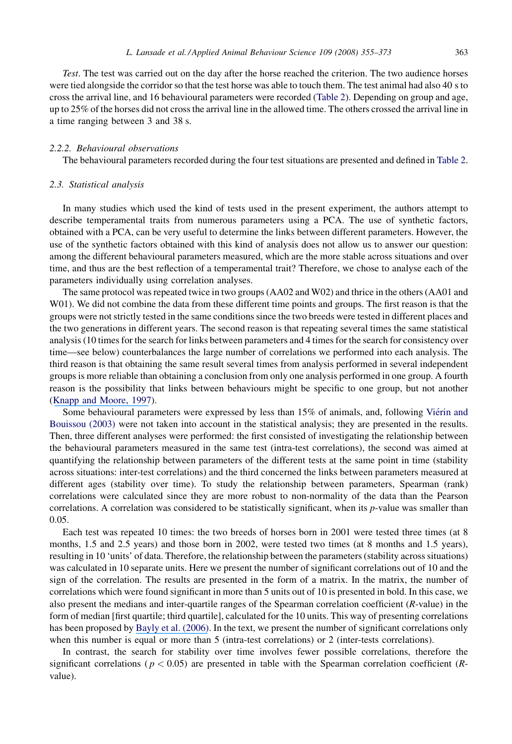Test. The test was carried out on the day after the horse reached the criterion. The two audience horses were tied alongside the corridor so that the test horse was able to touch them. The test animal had also 40 s to cross the arrival line, and 16 behavioural parameters were recorded [\(Table 2\)](#page-6-0). Depending on group and age, up to 25% of the horses did not cross the arrival line in the allowed time. The others crossed the arrival line in a time ranging between 3 and 38 s.

#### 2.2.2. Behavioural observations

The behavioural parameters recorded during the four test situations are presented and defined in [Table 2.](#page-6-0)

#### 2.3. Statistical analysis

In many studies which used the kind of tests used in the present experiment, the authors attempt to describe temperamental traits from numerous parameters using a PCA. The use of synthetic factors, obtained with a PCA, can be very useful to determine the links between different parameters. However, the use of the synthetic factors obtained with this kind of analysis does not allow us to answer our question: among the different behavioural parameters measured, which are the more stable across situations and over time, and thus are the best reflection of a temperamental trait? Therefore, we chose to analyse each of the parameters individually using correlation analyses.

The same protocol was repeated twice in two groups (AA02 and W02) and thrice in the others (AA01 and W01). We did not combine the data from these different time points and groups. The first reason is that the groups were not strictly tested in the same conditions since the two breeds were tested in different places and the two generations in different years. The second reason is that repeating several times the same statistical analysis (10 times for the search for links between parameters and 4 times for the search for consistency over time—see below) counterbalances the large number of correlations we performed into each analysis. The third reason is that obtaining the same result several times from analysis performed in several independent groups is more reliable than obtaining a conclusion from only one analysis performed in one group. A fourth reason is the possibility that links between behaviours might be specific to one group, but not another [\(Knapp and Moore, 1997](#page-18-0)).

Some behavioural parameters were expressed by less than  $15\%$  of animals, and, following Viérin and [Bouissou \(2003\)](#page-19-0) were not taken into account in the statistical analysis; they are presented in the results. Then, three different analyses were performed: the first consisted of investigating the relationship between the behavioural parameters measured in the same test (intra-test correlations), the second was aimed at quantifying the relationship between parameters of the different tests at the same point in time (stability across situations: inter-test correlations) and the third concerned the links between parameters measured at different ages (stability over time). To study the relationship between parameters, Spearman (rank) correlations were calculated since they are more robust to non-normality of the data than the Pearson correlations. A correlation was considered to be statistically significant, when its p-value was smaller than 0.05.

Each test was repeated 10 times: the two breeds of horses born in 2001 were tested three times (at 8 months, 1.5 and 2.5 years) and those born in 2002, were tested two times (at 8 months and 1.5 years), resulting in 10 'units' of data. Therefore, the relationship between the parameters (stability across situations) was calculated in 10 separate units. Here we present the number of significant correlations out of 10 and the sign of the correlation. The results are presented in the form of a matrix. In the matrix, the number of correlations which were found significant in more than 5 units out of 10 is presented in bold. In this case, we also present the medians and inter-quartile ranges of the Spearman correlation coefficient (R-value) in the form of median [first quartile; third quartile], calculated for the 10 units. This way of presenting correlations has been proposed by [Bayly et al. \(2006\).](#page-18-0) In the text, we present the number of significant correlations only when this number is equal or more than 5 (intra-test correlations) or 2 (inter-tests correlations).

In contrast, the search for stability over time involves fewer possible correlations, therefore the significant correlations ( $p < 0.05$ ) are presented in table with the Spearman correlation coefficient (Rvalue).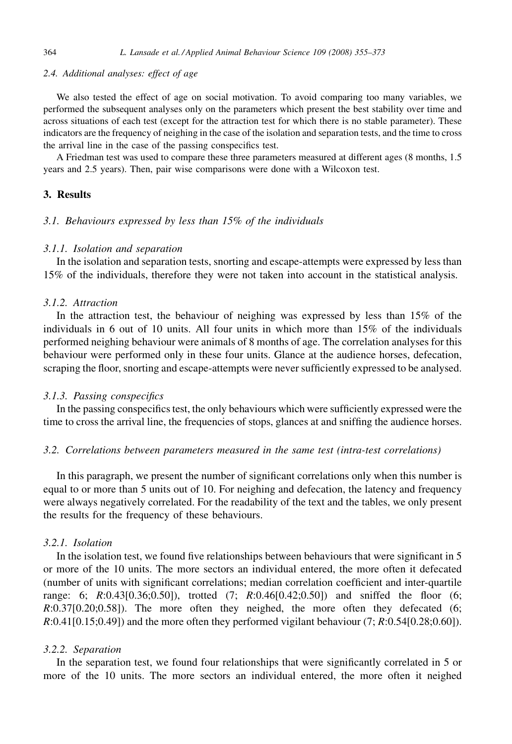#### 2.4. Additional analyses: effect of age

We also tested the effect of age on social motivation. To avoid comparing too many variables, we performed the subsequent analyses only on the parameters which present the best stability over time and across situations of each test (except for the attraction test for which there is no stable parameter). These indicators are the frequency of neighing in the case of the isolation and separation tests, and the time to cross the arrival line in the case of the passing conspecifics test.

A Friedman test was used to compare these three parameters measured at different ages (8 months, 1.5 years and 2.5 years). Then, pair wise comparisons were done with a Wilcoxon test.

# 3. Results

# 3.1. Behaviours expressed by less than 15% of the individuals

#### 3.1.1. Isolation and separation

In the isolation and separation tests, snorting and escape-attempts were expressed by less than 15% of the individuals, therefore they were not taken into account in the statistical analysis.

# 3.1.2. Attraction

In the attraction test, the behaviour of neighing was expressed by less than 15% of the individuals in 6 out of 10 units. All four units in which more than 15% of the individuals performed neighing behaviour were animals of 8 months of age. The correlation analyses for this behaviour were performed only in these four units. Glance at the audience horses, defecation, scraping the floor, snorting and escape-attempts were never sufficiently expressed to be analysed.

#### 3.1.3. Passing conspecifics

In the passing conspecifics test, the only behaviours which were sufficiently expressed were the time to cross the arrival line, the frequencies of stops, glances at and sniffing the audience horses.

#### 3.2. Correlations between parameters measured in the same test (intra-test correlations)

In this paragraph, we present the number of significant correlations only when this number is equal to or more than 5 units out of 10. For neighing and defecation, the latency and frequency were always negatively correlated. For the readability of the text and the tables, we only present the results for the frequency of these behaviours.

#### 3.2.1. Isolation

In the isolation test, we found five relationships between behaviours that were significant in 5 or more of the 10 units. The more sectors an individual entered, the more often it defecated (number of units with significant correlations; median correlation coefficient and inter-quartile range: 6; R:0.43[0.36;0.50]), trotted (7; R:0.46[0.42;0.50]) and sniffed the floor (6; R:0.37[0.20;0.58]). The more often they neighed, the more often they defecated (6;  $R: 0.41[0.15;0.49]$  and the more often they performed vigilant behaviour  $(7; R: 0.54[0.28;0.60])$ .

#### 3.2.2. Separation

In the separation test, we found four relationships that were significantly correlated in 5 or more of the 10 units. The more sectors an individual entered, the more often it neighed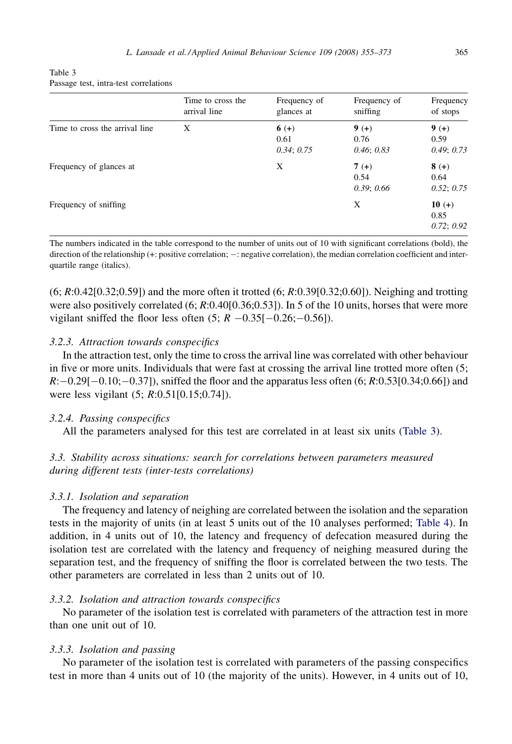Table 3 Passage test, intra-test correlations

|                                | Time to cross the<br>arrival line | Frequency of<br>glances at    | Frequency of<br>sniffing      | Frequency<br>of stops          |
|--------------------------------|-----------------------------------|-------------------------------|-------------------------------|--------------------------------|
| Time to cross the arrival line | X                                 | $6 (+)$<br>0.61<br>0.34; 0.75 | $9 (+)$<br>0.76<br>0.46; 0.83 | $9 (+)$<br>0.59<br>0.49; 0.73  |
| Frequency of glances at        |                                   | X                             | $7 (+)$<br>0.54<br>0.39; 0.66 | $8 (+)$<br>0.64<br>0.52; 0.75  |
| Frequency of sniffing          |                                   |                               | X                             | $10 (+)$<br>0.85<br>0.72; 0.92 |

The numbers indicated in the table correspond to the number of units out of 10 with significant correlations (bold), the direction of the relationship (+: positive correlation; -: negative correlation), the median correlation coefficient and interquartile range (italics).

(6; R:0.42[0.32;0.59]) and the more often it trotted (6; R:0.39[0.32;0.60]). Neighing and trotting were also positively correlated (6; R:0.40[0.36;0.53]). In 5 of the 10 units, horses that were more vigilant sniffed the floor less often  $(5; R - 0.35[-0.26; -0.56])$ .

# 3.2.3. Attraction towards conspecifics

In the attraction test, only the time to cross the arrival line was correlated with other behaviour in five or more units. Individuals that were fast at crossing the arrival line trotted more often (5;  $R: -0.29[-0.10; -0.37]$ , sniffed the floor and the apparatus less often (6;  $R: 0.53[0.34; 0.66]$ ) and were less vigilant (5; R:0.51[0.15;0.74]).

# 3.2.4. Passing conspecifics

All the parameters analysed for this test are correlated in at least six units (Table 3).

# 3.3. Stability across situations: search for correlations between parameters measured during different tests (inter-tests correlations)

# 3.3.1. Isolation and separation

The frequency and latency of neighing are correlated between the isolation and the separation tests in the majority of units (in at least 5 units out of the 10 analyses performed; [Table 4\)](#page-12-0). In addition, in 4 units out of 10, the latency and frequency of defecation measured during the isolation test are correlated with the latency and frequency of neighing measured during the separation test, and the frequency of sniffing the floor is correlated between the two tests. The other parameters are correlated in less than 2 units out of 10.

#### 3.3.2. Isolation and attraction towards conspecifics

No parameter of the isolation test is correlated with parameters of the attraction test in more than one unit out of 10.

# 3.3.3. Isolation and passing

No parameter of the isolation test is correlated with parameters of the passing conspecifics test in more than 4 units out of 10 (the majority of the units). However, in 4 units out of 10,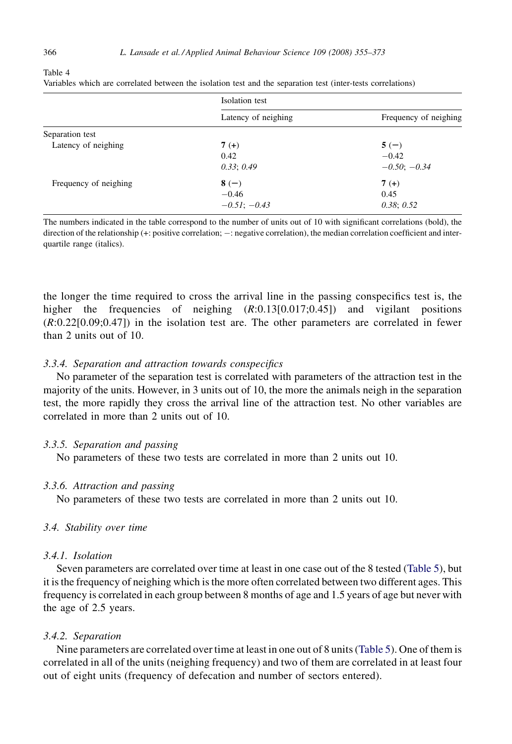|                       | Isolation test      |                       |
|-----------------------|---------------------|-----------------------|
|                       | Latency of neighing | Frequency of neighing |
| Separation test       |                     |                       |
| Latency of neighing   | $7 (+)$             | $5(-)$                |
|                       | 0.42                | $-0.42$               |
|                       | 0.33; 0.49          | $-0.50; -0.34$        |
| Frequency of neighing | $8(-)$              | $7 (+)$               |
|                       | $-0.46$             | 0.45                  |
|                       | $-0.51; -0.43$      | 0.38; 0.52            |

<span id="page-12-0"></span>Table 4 Variables which are correlated between the isolation test and the separation test (inter-tests correlations)

The numbers indicated in the table correspond to the number of units out of 10 with significant correlations (bold), the direction of the relationship  $(+;$  positive correlation;  $-$ : negative correlation), the median correlation coefficient and interquartile range (italics).

the longer the time required to cross the arrival line in the passing conspecifics test is, the higher the frequencies of neighing  $(R:0.13[0.017;0.45])$  and vigilant positions (R:0.22[0.09;0.47]) in the isolation test are. The other parameters are correlated in fewer than 2 units out of 10.

# 3.3.4. Separation and attraction towards conspecifics

No parameter of the separation test is correlated with parameters of the attraction test in the majority of the units. However, in 3 units out of 10, the more the animals neigh in the separation test, the more rapidly they cross the arrival line of the attraction test. No other variables are correlated in more than 2 units out of 10.

# 3.3.5. Separation and passing

No parameters of these two tests are correlated in more than 2 units out 10.

# 3.3.6. Attraction and passing

No parameters of these two tests are correlated in more than 2 units out 10.

#### 3.4. Stability over time

# 3.4.1. Isolation

Seven parameters are correlated over time at least in one case out of the 8 tested [\(Table 5\)](#page-13-0), but it is the frequency of neighing which is the more often correlated between two different ages. This frequency is correlated in each group between 8 months of age and 1.5 years of age but never with the age of 2.5 years.

#### 3.4.2. Separation

Nine parameters are correlated over time at least in one out of 8 units ([Table 5](#page-13-0)). One of them is correlated in all of the units (neighing frequency) and two of them are correlated in at least four out of eight units (frequency of defecation and number of sectors entered).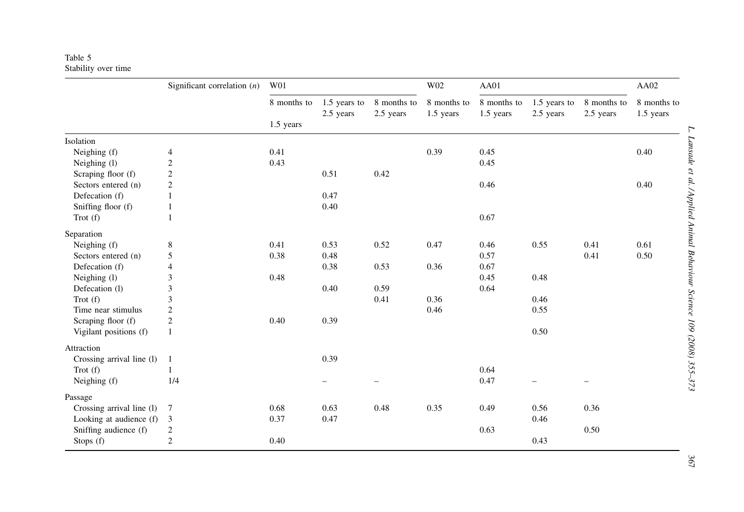#### <span id="page-13-0"></span>Table 5 Stability over time

|                           | Significant correlation $(n)$ | W <sub>01</sub> |                           |                          | W02                      | AA01                     |                           |                          | AA02                     |
|---------------------------|-------------------------------|-----------------|---------------------------|--------------------------|--------------------------|--------------------------|---------------------------|--------------------------|--------------------------|
|                           |                               | 8 months to     | 1.5 years to<br>2.5 years | 8 months to<br>2.5 years | 8 months to<br>1.5 years | 8 months to<br>1.5 years | 1.5 years to<br>2.5 years | 8 months to<br>2.5 years | 8 months to<br>1.5 years |
|                           |                               | 1.5 years       |                           |                          |                          |                          |                           |                          |                          |
| Isolation                 |                               |                 |                           |                          |                          |                          |                           |                          |                          |
| Neighing (f)              | $\overline{4}$                | 0.41            |                           |                          | 0.39                     | 0.45                     |                           |                          | 0.40                     |
| Neighing (l)              | $\sqrt{2}$                    | 0.43            |                           |                          |                          | 0.45                     |                           |                          |                          |
| Scraping floor (f)        | $\overline{c}$                |                 | 0.51                      | 0.42                     |                          |                          |                           |                          |                          |
| Sectors entered (n)       | $\overline{c}$                |                 |                           |                          |                          | 0.46                     |                           |                          | 0.40                     |
| Defecation (f)            | $\mathbf{1}$                  |                 | 0.47                      |                          |                          |                          |                           |                          |                          |
| Sniffing floor (f)        | $\mathbf{1}$                  |                 | 0.40                      |                          |                          |                          |                           |                          |                          |
| Trot $(f)$                | $\mathbf{1}$                  |                 |                           |                          |                          | 0.67                     |                           |                          |                          |
| Separation                |                               |                 |                           |                          |                          |                          |                           |                          |                          |
| Neighing (f)              | 8                             | 0.41            | 0.53                      | 0.52                     | 0.47                     | 0.46                     | 0.55                      | 0.41                     | 0.61                     |
| Sectors entered (n)       | 5                             | 0.38            | 0.48                      |                          |                          | 0.57                     |                           | 0.41                     | 0.50                     |
| Defecation (f)            | 4                             |                 | 0.38                      | 0.53                     | 0.36                     | 0.67                     |                           |                          |                          |
| Neighing (l)              | 3                             | 0.48            |                           |                          |                          | 0.45                     | 0.48                      |                          |                          |
| Defecation (1)            | 3                             |                 | 0.40                      | 0.59                     |                          | 0.64                     |                           |                          |                          |
| Trot $(f)$                | 3                             |                 |                           | 0.41                     | 0.36                     |                          | 0.46                      |                          |                          |
| Time near stimulus        | $\overline{c}$                |                 |                           |                          | 0.46                     |                          | 0.55                      |                          |                          |
| Scraping floor (f)        | $\boldsymbol{2}$              | 0.40            | 0.39                      |                          |                          |                          |                           |                          |                          |
| Vigilant positions (f)    | $\mathbf{1}$                  |                 |                           |                          |                          |                          | 0.50                      |                          |                          |
| Attraction                |                               |                 |                           |                          |                          |                          |                           |                          |                          |
| Crossing arrival line (1) | -1                            |                 | 0.39                      |                          |                          |                          |                           |                          |                          |
| Trot $(f)$                | $\mathbf{1}$                  |                 |                           |                          |                          | 0.64                     |                           |                          |                          |
| Neighing (f)              | 1/4                           |                 | $\overline{\phantom{0}}$  | $\overline{\phantom{0}}$ |                          | 0.47                     | $\overline{\phantom{0}}$  | $\overline{\phantom{0}}$ |                          |
| Passage                   |                               |                 |                           |                          |                          |                          |                           |                          |                          |
| Crossing arrival line (1) | 7                             | 0.68            | 0.63                      | 0.48                     | 0.35                     | 0.49                     | 0.56                      | 0.36                     |                          |
| Looking at audience (f)   | 3                             | 0.37            | 0.47                      |                          |                          |                          | 0.46                      |                          |                          |
| Sniffing audience (f)     | $\overline{c}$                |                 |                           |                          |                          | 0.63                     |                           | 0.50                     |                          |
| Stops (f)                 | $\overline{c}$                | 0.40            |                           |                          |                          |                          | 0.43                      |                          |                          |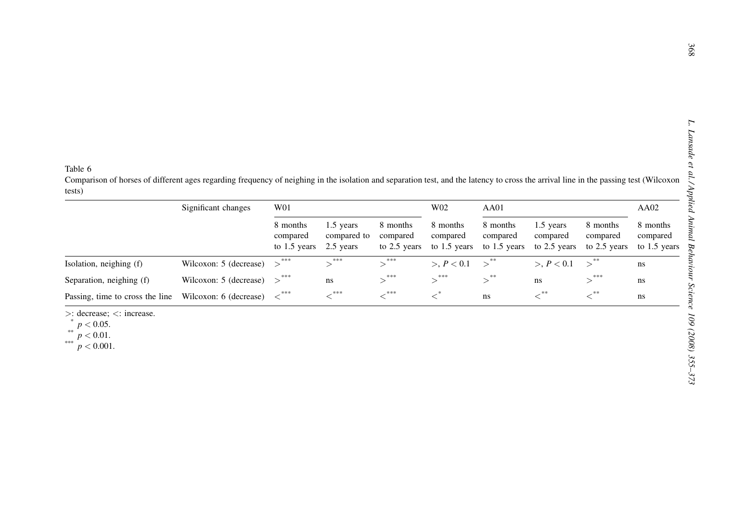<span id="page-14-0"></span>

| Table 6<br>Comparison of horses of different ages regarding frequency of neighing in the isolation and separation test, and the latency to cross the arrival line in the passing test (Wilcoxon<br>tests) |                        |                                      |                                       |                                      |                                      |                                      |                                       |                                      |                                      |
|-----------------------------------------------------------------------------------------------------------------------------------------------------------------------------------------------------------|------------------------|--------------------------------------|---------------------------------------|--------------------------------------|--------------------------------------|--------------------------------------|---------------------------------------|--------------------------------------|--------------------------------------|
|                                                                                                                                                                                                           | Significant changes    | W <sub>01</sub>                      |                                       |                                      | W02                                  | AA01                                 |                                       |                                      | AA02                                 |
|                                                                                                                                                                                                           |                        | 8 months<br>compared<br>to 1.5 years | 1.5 years<br>compared to<br>2.5 years | 8 months<br>compared<br>to 2.5 years | 8 months<br>compared<br>to 1.5 years | 8 months<br>compared<br>to 1.5 years | 1.5 years<br>compared<br>to 2.5 years | 8 months<br>compared<br>to 2.5 years | 8 months<br>compared<br>to 1.5 years |
|                                                                                                                                                                                                           |                        |                                      |                                       |                                      |                                      |                                      |                                       |                                      |                                      |
|                                                                                                                                                                                                           | Wilcoxon: 5 (decrease) | $>$ ***                              | $>^{***}$                             | $>$ ***                              | $>$ , $P < 0.1$                      | $>^{\ast\ast}$                       | $>$ , $P < 0.1$                       | $>^{\ast\ast}$                       | ns                                   |
| Isolation, neighing (f)<br>Separation, neighing (f)                                                                                                                                                       | Wilcoxon: 5 (decrease) | ***<br>$\geq$                        | ns                                    | $\mathbb{R}^{***}$                   | $>^{\ast\ast\ast}$                   | $>^{\ast\ast}$                       | ns                                    | $>^{***}$                            | ns                                   |
| Passing, time to cross the line                                                                                                                                                                           | Wilcoxon: 6 (decrease) | ***<br>$\lt$                         | $\leq^{***}$                          | $\prec^{***}$                        | $\boldsymbol{<}^*$                   | $\rm ns$                             | $\prec^{**}$                          | $<^{\ast\ast}$                       | ns                                   |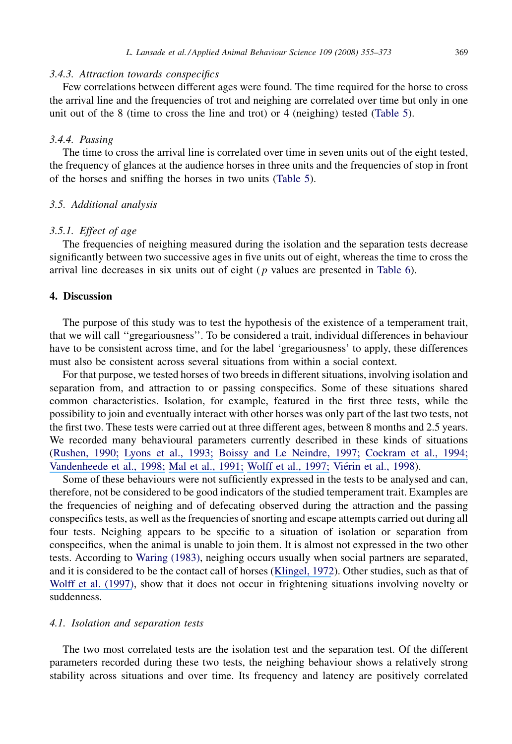#### 3.4.3. Attraction towards conspecifics

Few correlations between different ages were found. The time required for the horse to cross the arrival line and the frequencies of trot and neighing are correlated over time but only in one unit out of the 8 (time to cross the line and trot) or 4 (neighing) tested ([Table 5](#page-13-0)).

#### 3.4.4. Passing

The time to cross the arrival line is correlated over time in seven units out of the eight tested, the frequency of glances at the audience horses in three units and the frequencies of stop in front of the horses and sniffing the horses in two units ([Table 5](#page-13-0)).

#### 3.5. Additional analysis

# 3.5.1. Effect of age

The frequencies of neighing measured during the isolation and the separation tests decrease significantly between two successive ages in five units out of eight, whereas the time to cross the arrival line decreases in six units out of eight ( $p$  values are presented in [Table 6](#page-14-0)).

# 4. Discussion

The purpose of this study was to test the hypothesis of the existence of a temperament trait, that we will call ''gregariousness''. To be considered a trait, individual differences in behaviour have to be consistent across time, and for the label 'gregariousness' to apply, these differences must also be consistent across several situations from within a social context.

For that purpose, we tested horses of two breeds in different situations, involving isolation and separation from, and attraction to or passing conspecifics. Some of these situations shared common characteristics. Isolation, for example, featured in the first three tests, while the possibility to join and eventually interact with other horses was only part of the last two tests, not the first two. These tests were carried out at three different ages, between 8 months and 2.5 years. We recorded many behavioural parameters currently described in these kinds of situations ([Rushen, 1990; Lyons et al., 1993; Boissy and Le Neindre, 1997; Cockram et al., 1994;](#page-19-0) Vandenheede et al., 1998; Mal et al., 1991; Wolff et al., 1997; Viérin et al., 1998).

Some of these behaviours were not sufficiently expressed in the tests to be analysed and can, therefore, not be considered to be good indicators of the studied temperament trait. Examples are the frequencies of neighing and of defecating observed during the attraction and the passing conspecifics tests, as well as the frequencies of snorting and escape attempts carried out during all four tests. Neighing appears to be specific to a situation of isolation or separation from conspecifics, when the animal is unable to join them. It is almost not expressed in the two other tests. According to [Waring \(1983\),](#page-19-0) neighing occurs usually when social partners are separated, and it is considered to be the contact call of horses ([Klingel, 1972](#page-18-0)). Other studies, such as that of [Wolff et al. \(1997\)](#page-19-0), show that it does not occur in frightening situations involving novelty or suddenness.

#### 4.1. Isolation and separation tests

The two most correlated tests are the isolation test and the separation test. Of the different parameters recorded during these two tests, the neighing behaviour shows a relatively strong stability across situations and over time. Its frequency and latency are positively correlated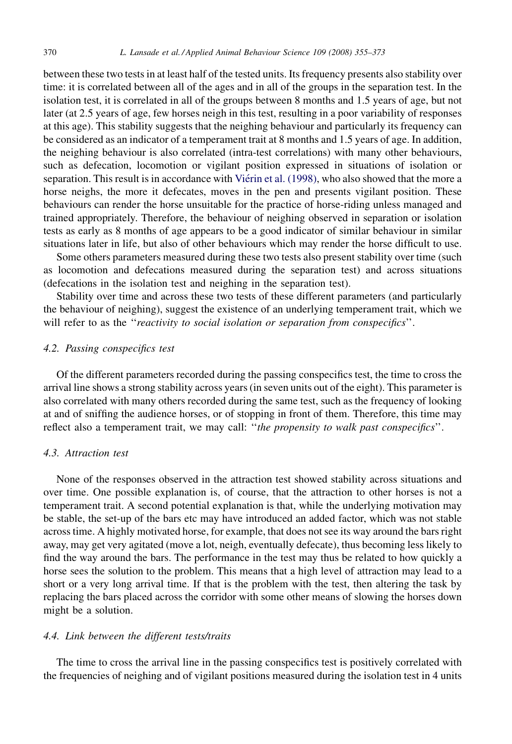between these two tests in at least half of the tested units. Its frequency presents also stability over time: it is correlated between all of the ages and in all of the groups in the separation test. In the isolation test, it is correlated in all of the groups between 8 months and 1.5 years of age, but not later (at 2.5 years of age, few horses neigh in this test, resulting in a poor variability of responses at this age). This stability suggests that the neighing behaviour and particularly its frequency can be considered as an indicator of a temperament trait at 8 months and 1.5 years of age. In addition, the neighing behaviour is also correlated (intra-test correlations) with many other behaviours, such as defecation, locomotion or vigilant position expressed in situations of isolation or separation. This result is in accordance with Viérin et al. (1998), who also showed that the more a horse neighs, the more it defecates, moves in the pen and presents vigilant position. These behaviours can render the horse unsuitable for the practice of horse-riding unless managed and trained appropriately. Therefore, the behaviour of neighing observed in separation or isolation tests as early as 8 months of age appears to be a good indicator of similar behaviour in similar situations later in life, but also of other behaviours which may render the horse difficult to use.

Some others parameters measured during these two tests also present stability over time (such as locomotion and defecations measured during the separation test) and across situations (defecations in the isolation test and neighing in the separation test).

Stability over time and across these two tests of these different parameters (and particularly the behaviour of neighing), suggest the existence of an underlying temperament trait, which we will refer to as the "reactivity to social isolation or separation from conspecifics".

# 4.2. Passing conspecifics test

Of the different parameters recorded during the passing conspecifics test, the time to cross the arrival line shows a strong stability across years (in seven units out of the eight). This parameter is also correlated with many others recorded during the same test, such as the frequency of looking at and of sniffing the audience horses, or of stopping in front of them. Therefore, this time may reflect also a temperament trait, we may call: "the propensity to walk past conspecifics".

# 4.3. Attraction test

None of the responses observed in the attraction test showed stability across situations and over time. One possible explanation is, of course, that the attraction to other horses is not a temperament trait. A second potential explanation is that, while the underlying motivation may be stable, the set-up of the bars etc may have introduced an added factor, which was not stable across time. A highly motivated horse, for example, that does not see its way around the bars right away, may get very agitated (move a lot, neigh, eventually defecate), thus becoming less likely to find the way around the bars. The performance in the test may thus be related to how quickly a horse sees the solution to the problem. This means that a high level of attraction may lead to a short or a very long arrival time. If that is the problem with the test, then altering the task by replacing the bars placed across the corridor with some other means of slowing the horses down might be a solution.

# 4.4. Link between the different tests/traits

The time to cross the arrival line in the passing conspecifics test is positively correlated with the frequencies of neighing and of vigilant positions measured during the isolation test in 4 units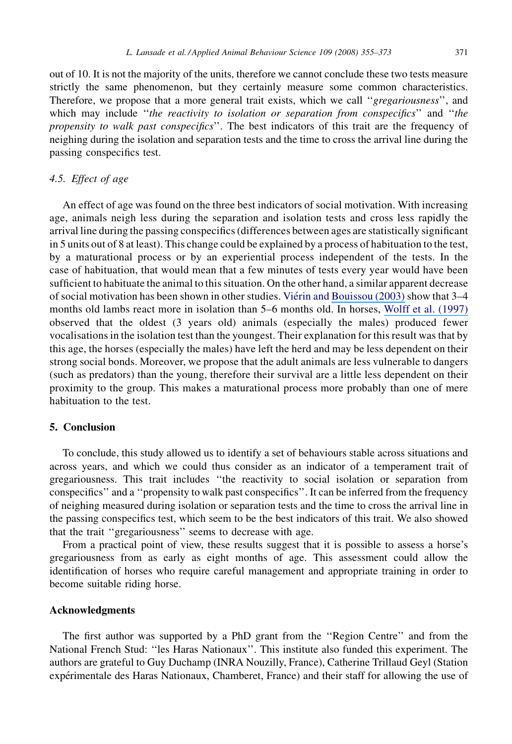out of 10. It is not the majority of the units, therefore we cannot conclude these two tests measure strictly the same phenomenon, but they certainly measure some common characteristics. Therefore, we propose that a more general trait exists, which we call "gregariousness", and which may include "the reactivity to isolation or separation from conspecifics" and "the propensity to walk past conspecifics''. The best indicators of this trait are the frequency of neighing during the isolation and separation tests and the time to cross the arrival line during the passing conspecifics test.

# 4.5. Effect of age

An effect of age was found on the three best indicators of social motivation. With increasing age, animals neigh less during the separation and isolation tests and cross less rapidly the arrival line during the passing conspecifics (differences between ages are statistically significant in 5 units out of 8 at least). This change could be explained by a process of habituation to the test, by a maturational process or by an experiential process independent of the tests. In the case of habituation, that would mean that a few minutes of tests every year would have been sufficient to habituate the animal to this situation. On the other hand, a similar apparent decrease of social motivation has been shown in other studies. Vietin and Bouissou (2003) show that 3–4 months old lambs react more in isolation than 5–6 months old. In horses, [Wolff et al. \(1997\)](#page-19-0) observed that the oldest (3 years old) animals (especially the males) produced fewer vocalisations in the isolation test than the youngest. Their explanation for this result was that by this age, the horses (especially the males) have left the herd and may be less dependent on their strong social bonds. Moreover, we propose that the adult animals are less vulnerable to dangers (such as predators) than the young, therefore their survival are a little less dependent on their proximity to the group. This makes a maturational process more probably than one of mere habituation to the test.

# 5. Conclusion

To conclude, this study allowed us to identify a set of behaviours stable across situations and across years, and which we could thus consider as an indicator of a temperament trait of gregariousness. This trait includes ''the reactivity to social isolation or separation from conspecifics'' and a ''propensity to walk past conspecifics''. It can be inferred from the frequency of neighing measured during isolation or separation tests and the time to cross the arrival line in the passing conspecifics test, which seem to be the best indicators of this trait. We also showed that the trait ''gregariousness'' seems to decrease with age.

From a practical point of view, these results suggest that it is possible to assess a horse's gregariousness from as early as eight months of age. This assessment could allow the identification of horses who require careful management and appropriate training in order to become suitable riding horse.

#### Acknowledgments

The first author was supported by a PhD grant from the ''Region Centre'' and from the National French Stud: ''les Haras Nationaux''. This institute also funded this experiment. The authors are grateful to Guy Duchamp (INRA Nouzilly, France), Catherine Trillaud Geyl (Station experimentale des Haras Nationaux, Chamberet, France) and their staff for allowing the use of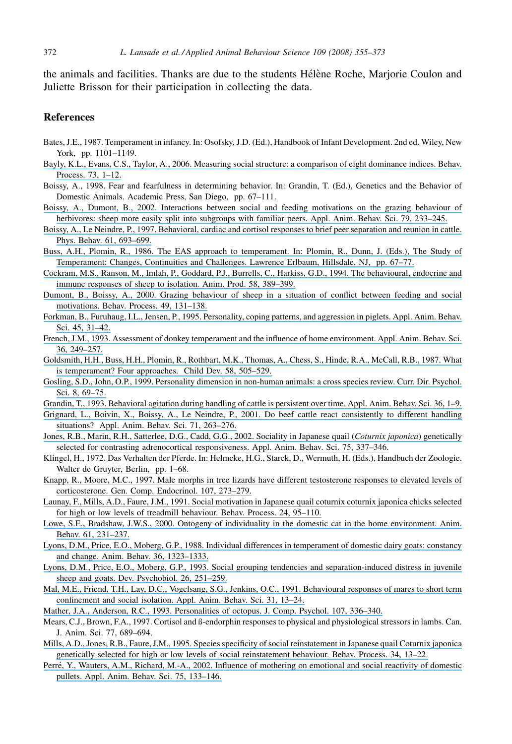<span id="page-18-0"></span>the animals and facilities. Thanks are due to the students Hélène Roche, Marjorie Coulon and Juliette Brisson for their participation in collecting the data.

# References

- Bates, J.E., 1987. Temperament in infancy. In: Osofsky, J.D. (Ed.), Handbook of Infant Development. 2nd ed. Wiley, New York, pp. 1101–1149.
- [Bayly, K.L., Evans, C.S., Taylor, A., 2006. Measuring social structure: a comparison of eight dominance indices. Behav.](https://www.researchgate.net/publication/7251760_Measuring_social_structure_A_comparison_of_eight_dominance_indices?el=1_x_8&enrichId=rgreq-f42724535662fab1c31b8b8bbba25316-XXX&enrichSource=Y292ZXJQYWdlOzI0ODMzNjA5ODtBUzoxMTUwMDIyODc1OTU1MjFAMTQwNDQzMDA5MDYwNA==) [Process. 73, 1–12.](https://www.researchgate.net/publication/7251760_Measuring_social_structure_A_comparison_of_eight_dominance_indices?el=1_x_8&enrichId=rgreq-f42724535662fab1c31b8b8bbba25316-XXX&enrichSource=Y292ZXJQYWdlOzI0ODMzNjA5ODtBUzoxMTUwMDIyODc1OTU1MjFAMTQwNDQzMDA5MDYwNA==)
- Boissy, A., 1998. Fear and fearfulness in determining behavior. In: Grandin, T. (Ed.), Genetics and the Behavior of Domestic Animals. Academic Press, San Diego, pp. 67–111.
- [Boissy, A., Dumont, B., 2002. Interactions between social and feeding motivations on the grazing behaviour of](https://www.researchgate.net/publication/228748803_Interactions_between_social_and_feeding_motivations_on_the_grazing_behaviour_of_herbivores_Sheep_more_easily_split_into_subgroups_with_familiar_peers?el=1_x_8&enrichId=rgreq-f42724535662fab1c31b8b8bbba25316-XXX&enrichSource=Y292ZXJQYWdlOzI0ODMzNjA5ODtBUzoxMTUwMDIyODc1OTU1MjFAMTQwNDQzMDA5MDYwNA==) [herbivores: sheep more easily split into subgroups with familiar peers. Appl. Anim. Behav. Sci. 79, 233–245.](https://www.researchgate.net/publication/228748803_Interactions_between_social_and_feeding_motivations_on_the_grazing_behaviour_of_herbivores_Sheep_more_easily_split_into_subgroups_with_familiar_peers?el=1_x_8&enrichId=rgreq-f42724535662fab1c31b8b8bbba25316-XXX&enrichSource=Y292ZXJQYWdlOzI0ODMzNjA5ODtBUzoxMTUwMDIyODc1OTU1MjFAMTQwNDQzMDA5MDYwNA==)
- [Boissy, A., Le Neindre, P., 1997. Behavioral, cardiac and cortisol responses to brief peer separation and reunion in cattle.](https://www.researchgate.net/publication/14072407_Behavioral_Cardiac_and_Cortisol_Responses_to_Brief_Peer_Separation_and_Reunion_in_Cattle?el=1_x_8&enrichId=rgreq-f42724535662fab1c31b8b8bbba25316-XXX&enrichSource=Y292ZXJQYWdlOzI0ODMzNjA5ODtBUzoxMTUwMDIyODc1OTU1MjFAMTQwNDQzMDA5MDYwNA==) [Phys. Behav. 61, 693–699.](https://www.researchgate.net/publication/14072407_Behavioral_Cardiac_and_Cortisol_Responses_to_Brief_Peer_Separation_and_Reunion_in_Cattle?el=1_x_8&enrichId=rgreq-f42724535662fab1c31b8b8bbba25316-XXX&enrichSource=Y292ZXJQYWdlOzI0ODMzNjA5ODtBUzoxMTUwMDIyODc1OTU1MjFAMTQwNDQzMDA5MDYwNA==)
- [Buss, A.H., Plomin, R., 1986. The EAS approach to temperament. In: Plomin, R., Dunn, J. \(Eds.\), The Study of](https://www.researchgate.net/publication/258810773_The_study_of_temperament_Changes_continuities_and_challenges?el=1_x_8&enrichId=rgreq-f42724535662fab1c31b8b8bbba25316-XXX&enrichSource=Y292ZXJQYWdlOzI0ODMzNjA5ODtBUzoxMTUwMDIyODc1OTU1MjFAMTQwNDQzMDA5MDYwNA==) [Temperament: Changes, Continuities and Challenges. Lawrence Erlbaum, Hillsdale, NJ, pp. 67–77.](https://www.researchgate.net/publication/258810773_The_study_of_temperament_Changes_continuities_and_challenges?el=1_x_8&enrichId=rgreq-f42724535662fab1c31b8b8bbba25316-XXX&enrichSource=Y292ZXJQYWdlOzI0ODMzNjA5ODtBUzoxMTUwMDIyODc1OTU1MjFAMTQwNDQzMDA5MDYwNA==)
- [Cockram, M.S., Ranson, M., Imlah, P., Goddard, P.J., Burrells, C., Harkiss, G.D., 1994. The behavioural, endocrine and](https://www.researchgate.net/publication/231931853_The_behavioural_endocrine_and_immune_responses_of_sheep_to_isolation?el=1_x_8&enrichId=rgreq-f42724535662fab1c31b8b8bbba25316-XXX&enrichSource=Y292ZXJQYWdlOzI0ODMzNjA5ODtBUzoxMTUwMDIyODc1OTU1MjFAMTQwNDQzMDA5MDYwNA==) [immune responses of sheep to isolation. Anim. Prod. 58, 389–399.](https://www.researchgate.net/publication/231931853_The_behavioural_endocrine_and_immune_responses_of_sheep_to_isolation?el=1_x_8&enrichId=rgreq-f42724535662fab1c31b8b8bbba25316-XXX&enrichSource=Y292ZXJQYWdlOzI0ODMzNjA5ODtBUzoxMTUwMDIyODc1OTU1MjFAMTQwNDQzMDA5MDYwNA==)
- [Dumont, B., Boissy, A., 2000. Grazing behaviour of sheep in a situation of conflict between feeding and social](https://www.researchgate.net/publication/12396921_Grazing_behaviour_of_sheep_in_a_situation_of_conflict_between_feeding_and_social_motivations?el=1_x_8&enrichId=rgreq-f42724535662fab1c31b8b8bbba25316-XXX&enrichSource=Y292ZXJQYWdlOzI0ODMzNjA5ODtBUzoxMTUwMDIyODc1OTU1MjFAMTQwNDQzMDA5MDYwNA==) [motivations. Behav. Process. 49, 131–138.](https://www.researchgate.net/publication/12396921_Grazing_behaviour_of_sheep_in_a_situation_of_conflict_between_feeding_and_social_motivations?el=1_x_8&enrichId=rgreq-f42724535662fab1c31b8b8bbba25316-XXX&enrichSource=Y292ZXJQYWdlOzI0ODMzNjA5ODtBUzoxMTUwMDIyODc1OTU1MjFAMTQwNDQzMDA5MDYwNA==)
- [Forkman, B., Furuhaug, I.L., Jensen, P., 1995. Personality, coping patterns, and aggression in piglets. Appl. Anim. Behav.](https://www.researchgate.net/publication/248335316_Personality_coping_patterns_and_aggression_in_piglets?el=1_x_8&enrichId=rgreq-f42724535662fab1c31b8b8bbba25316-XXX&enrichSource=Y292ZXJQYWdlOzI0ODMzNjA5ODtBUzoxMTUwMDIyODc1OTU1MjFAMTQwNDQzMDA5MDYwNA==) [Sci. 45, 31–42.](https://www.researchgate.net/publication/248335316_Personality_coping_patterns_and_aggression_in_piglets?el=1_x_8&enrichId=rgreq-f42724535662fab1c31b8b8bbba25316-XXX&enrichSource=Y292ZXJQYWdlOzI0ODMzNjA5ODtBUzoxMTUwMDIyODc1OTU1MjFAMTQwNDQzMDA5MDYwNA==)
- [French, J.M., 1993. Assessment of donkey temperament and the influence of home environment. Appl. Anim. Behav. Sci.](https://www.researchgate.net/publication/271610456_Assessment_of_donkey_temperament_and_the_influence_of_home_environment?el=1_x_8&enrichId=rgreq-f42724535662fab1c31b8b8bbba25316-XXX&enrichSource=Y292ZXJQYWdlOzI0ODMzNjA5ODtBUzoxMTUwMDIyODc1OTU1MjFAMTQwNDQzMDA5MDYwNA==) [36, 249–257.](https://www.researchgate.net/publication/271610456_Assessment_of_donkey_temperament_and_the_influence_of_home_environment?el=1_x_8&enrichId=rgreq-f42724535662fab1c31b8b8bbba25316-XXX&enrichSource=Y292ZXJQYWdlOzI0ODMzNjA5ODtBUzoxMTUwMDIyODc1OTU1MjFAMTQwNDQzMDA5MDYwNA==)
- [Goldsmith, H.H., Buss, H.H., Plomin, R., Rothbart, M.K., Thomas, A., Chess, S., Hinde, R.A., McCall, R.B., 1987. What](https://www.researchgate.net/publication/19331728_What_Is_Temperament_Four_Approaches?el=1_x_8&enrichId=rgreq-f42724535662fab1c31b8b8bbba25316-XXX&enrichSource=Y292ZXJQYWdlOzI0ODMzNjA5ODtBUzoxMTUwMDIyODc1OTU1MjFAMTQwNDQzMDA5MDYwNA==) [is temperament? Four approaches. Child Dev. 58, 505–529.](https://www.researchgate.net/publication/19331728_What_Is_Temperament_Four_Approaches?el=1_x_8&enrichId=rgreq-f42724535662fab1c31b8b8bbba25316-XXX&enrichSource=Y292ZXJQYWdlOzI0ODMzNjA5ODtBUzoxMTUwMDIyODc1OTU1MjFAMTQwNDQzMDA5MDYwNA==)
- [Gosling, S.D., John, O.P., 1999. Personality dimension in non-human animals: a cross species review. Curr. Dir. Psychol.](https://www.researchgate.net/publication/279902005_Personality_dimensions_in_nonhuman_animals_A_cross-species_review?el=1_x_8&enrichId=rgreq-f42724535662fab1c31b8b8bbba25316-XXX&enrichSource=Y292ZXJQYWdlOzI0ODMzNjA5ODtBUzoxMTUwMDIyODc1OTU1MjFAMTQwNDQzMDA5MDYwNA==) [Sci. 8, 69–75.](https://www.researchgate.net/publication/279902005_Personality_dimensions_in_nonhuman_animals_A_cross-species_review?el=1_x_8&enrichId=rgreq-f42724535662fab1c31b8b8bbba25316-XXX&enrichSource=Y292ZXJQYWdlOzI0ODMzNjA5ODtBUzoxMTUwMDIyODc1OTU1MjFAMTQwNDQzMDA5MDYwNA==)
- [Grandin, T., 1993. Behavioral agitation during handling of cattle is persistent over time. Appl. Anim. Behav. Sci. 36, 1–9.](https://www.researchgate.net/publication/248333911_Behavioral_agitation_during_handling_of_cattle_is_persistent_over_time?el=1_x_8&enrichId=rgreq-f42724535662fab1c31b8b8bbba25316-XXX&enrichSource=Y292ZXJQYWdlOzI0ODMzNjA5ODtBUzoxMTUwMDIyODc1OTU1MjFAMTQwNDQzMDA5MDYwNA==)
- [Grignard, L., Boivin, X., Boissy, A., Le Neindre, P., 2001. Do beef cattle react consistently to different handling](https://www.researchgate.net/publication/12084733_Do_beef_cattle_react_consistently_to_different_handling_situations?el=1_x_8&enrichId=rgreq-f42724535662fab1c31b8b8bbba25316-XXX&enrichSource=Y292ZXJQYWdlOzI0ODMzNjA5ODtBUzoxMTUwMDIyODc1OTU1MjFAMTQwNDQzMDA5MDYwNA==) [situations? Appl. Anim. Behav. Sci. 71, 263–276.](https://www.researchgate.net/publication/12084733_Do_beef_cattle_react_consistently_to_different_handling_situations?el=1_x_8&enrichId=rgreq-f42724535662fab1c31b8b8bbba25316-XXX&enrichSource=Y292ZXJQYWdlOzI0ODMzNjA5ODtBUzoxMTUwMDIyODc1OTU1MjFAMTQwNDQzMDA5MDYwNA==)
- [Jones, R.B., Marin, R.H., Satterlee, D.G., Cadd, G.G., 2002. Sociality in Japanese quail \(](https://www.researchgate.net/publication/248335721_Sociality_in_Japanese_quail_Coturnix_japonica_genetically_selected_for_contrasting_adrenocortical_responsiveness?el=1_x_8&enrichId=rgreq-f42724535662fab1c31b8b8bbba25316-XXX&enrichSource=Y292ZXJQYWdlOzI0ODMzNjA5ODtBUzoxMTUwMDIyODc1OTU1MjFAMTQwNDQzMDA5MDYwNA==)Coturnix japonica) genetically [selected for contrasting adrenocortical responsiveness. Appl. Anim. Behav. Sci. 75, 337–346.](https://www.researchgate.net/publication/248335721_Sociality_in_Japanese_quail_Coturnix_japonica_genetically_selected_for_contrasting_adrenocortical_responsiveness?el=1_x_8&enrichId=rgreq-f42724535662fab1c31b8b8bbba25316-XXX&enrichSource=Y292ZXJQYWdlOzI0ODMzNjA5ODtBUzoxMTUwMDIyODc1OTU1MjFAMTQwNDQzMDA5MDYwNA==)
- [Klingel, H., 1972. Das Verhalten der Pferde. In: Helmcke, H.G., Starck, D., Wermuth, H. \(Eds.\), Handbuch der Zoologie.](https://www.researchgate.net/publication/284931020_Das_Verhalten_der_Pferde_Equidae?el=1_x_8&enrichId=rgreq-f42724535662fab1c31b8b8bbba25316-XXX&enrichSource=Y292ZXJQYWdlOzI0ODMzNjA5ODtBUzoxMTUwMDIyODc1OTU1MjFAMTQwNDQzMDA5MDYwNA==) [Walter de Gruyter, Berlin, pp. 1–68.](https://www.researchgate.net/publication/284931020_Das_Verhalten_der_Pferde_Equidae?el=1_x_8&enrichId=rgreq-f42724535662fab1c31b8b8bbba25316-XXX&enrichSource=Y292ZXJQYWdlOzI0ODMzNjA5ODtBUzoxMTUwMDIyODc1OTU1MjFAMTQwNDQzMDA5MDYwNA==)
- [Knapp, R., Moore, M.C., 1997. Male morphs in tree lizards have different testosterone responses to elevated levels of](https://www.researchgate.net/publication/223878911_Male_Morphs_in_Tree_Lizards_Have_Different_Testosterone_Responses_to_Elevated_Levels_of_Corticosterone?el=1_x_8&enrichId=rgreq-f42724535662fab1c31b8b8bbba25316-XXX&enrichSource=Y292ZXJQYWdlOzI0ODMzNjA5ODtBUzoxMTUwMDIyODc1OTU1MjFAMTQwNDQzMDA5MDYwNA==) [corticosterone. Gen. Comp. Endocrinol. 107, 273–279.](https://www.researchgate.net/publication/223878911_Male_Morphs_in_Tree_Lizards_Have_Different_Testosterone_Responses_to_Elevated_Levels_of_Corticosterone?el=1_x_8&enrichId=rgreq-f42724535662fab1c31b8b8bbba25316-XXX&enrichSource=Y292ZXJQYWdlOzI0ODMzNjA5ODtBUzoxMTUwMDIyODc1OTU1MjFAMTQwNDQzMDA5MDYwNA==)
- [Launay, F., Mills, A.D., Faure, J.M., 1991. Social motivation in Japanese quail coturnix coturnix japonica chicks selected](https://www.researchgate.net/publication/223580796_Social_motivation_in_Japanese_quail_Coturnix_japonica_chicks_selected_for_high_or_low_levels_of_treadmill_behavior?el=1_x_8&enrichId=rgreq-f42724535662fab1c31b8b8bbba25316-XXX&enrichSource=Y292ZXJQYWdlOzI0ODMzNjA5ODtBUzoxMTUwMDIyODc1OTU1MjFAMTQwNDQzMDA5MDYwNA==) [for high or low levels of treadmill behaviour. Behav. Process. 24, 95–110.](https://www.researchgate.net/publication/223580796_Social_motivation_in_Japanese_quail_Coturnix_japonica_chicks_selected_for_high_or_low_levels_of_treadmill_behavior?el=1_x_8&enrichId=rgreq-f42724535662fab1c31b8b8bbba25316-XXX&enrichSource=Y292ZXJQYWdlOzI0ODMzNjA5ODtBUzoxMTUwMDIyODc1OTU1MjFAMTQwNDQzMDA5MDYwNA==)
- [Lowe, S.E., Bradshaw, J.W.S., 2000. Ontogeny of individuality in the domestic cat in the home environment. Anim.](https://www.researchgate.net/publication/263217056_Ontogeny_of_individuality_in_the_domestic_cat_in_the_home_environment?el=1_x_8&enrichId=rgreq-f42724535662fab1c31b8b8bbba25316-XXX&enrichSource=Y292ZXJQYWdlOzI0ODMzNjA5ODtBUzoxMTUwMDIyODc1OTU1MjFAMTQwNDQzMDA5MDYwNA==) [Behav. 61, 231–237.](https://www.researchgate.net/publication/263217056_Ontogeny_of_individuality_in_the_domestic_cat_in_the_home_environment?el=1_x_8&enrichId=rgreq-f42724535662fab1c31b8b8bbba25316-XXX&enrichSource=Y292ZXJQYWdlOzI0ODMzNjA5ODtBUzoxMTUwMDIyODc1OTU1MjFAMTQwNDQzMDA5MDYwNA==)
- [Lyons, D.M., Price, E.O., Moberg, G.P., 1988. Individual differences in temperament of domestic dairy goats: constancy](https://www.researchgate.net/publication/222971458_Individual_differences_in_temperament_of_domestic_dairy_goats_constancy_and_change?el=1_x_8&enrichId=rgreq-f42724535662fab1c31b8b8bbba25316-XXX&enrichSource=Y292ZXJQYWdlOzI0ODMzNjA5ODtBUzoxMTUwMDIyODc1OTU1MjFAMTQwNDQzMDA5MDYwNA==) [and change. Anim. Behav. 36, 1323–1333.](https://www.researchgate.net/publication/222971458_Individual_differences_in_temperament_of_domestic_dairy_goats_constancy_and_change?el=1_x_8&enrichId=rgreq-f42724535662fab1c31b8b8bbba25316-XXX&enrichSource=Y292ZXJQYWdlOzI0ODMzNjA5ODtBUzoxMTUwMDIyODc1OTU1MjFAMTQwNDQzMDA5MDYwNA==)
- [Lyons, D.M., Price, E.O., Moberg, G.P., 1993. Social grouping tendencies and separation-induced distress in juvenile](https://www.researchgate.net/publication/14859165_Social_grouping_tendencies_and_separation-induced_distress_in_juvenile_sheep_and_goats?el=1_x_8&enrichId=rgreq-f42724535662fab1c31b8b8bbba25316-XXX&enrichSource=Y292ZXJQYWdlOzI0ODMzNjA5ODtBUzoxMTUwMDIyODc1OTU1MjFAMTQwNDQzMDA5MDYwNA==) [sheep and goats. Dev. Psychobiol. 26, 251–259.](https://www.researchgate.net/publication/14859165_Social_grouping_tendencies_and_separation-induced_distress_in_juvenile_sheep_and_goats?el=1_x_8&enrichId=rgreq-f42724535662fab1c31b8b8bbba25316-XXX&enrichSource=Y292ZXJQYWdlOzI0ODMzNjA5ODtBUzoxMTUwMDIyODc1OTU1MjFAMTQwNDQzMDA5MDYwNA==)
- [Mal, M.E., Friend, T.H., Lay, D.C., Vogelsang, S.G., Jenkins, O.C., 1991. Behavioural responses of mares to short term](https://www.researchgate.net/publication/223312500_Behavioral_responses_of_mares_to_short-term_confinement_and_social_isolation?el=1_x_8&enrichId=rgreq-f42724535662fab1c31b8b8bbba25316-XXX&enrichSource=Y292ZXJQYWdlOzI0ODMzNjA5ODtBUzoxMTUwMDIyODc1OTU1MjFAMTQwNDQzMDA5MDYwNA==) [confinement and social isolation. Appl. Anim. Behav. Sci. 31, 13–24.](https://www.researchgate.net/publication/223312500_Behavioral_responses_of_mares_to_short-term_confinement_and_social_isolation?el=1_x_8&enrichId=rgreq-f42724535662fab1c31b8b8bbba25316-XXX&enrichSource=Y292ZXJQYWdlOzI0ODMzNjA5ODtBUzoxMTUwMDIyODc1OTU1MjFAMTQwNDQzMDA5MDYwNA==)
- [Mather, J.A., Anderson, R.C., 1993. Personalities of octopus. J. Comp. Psychol. 107, 336–340.](https://www.researchgate.net/publication/229193258_Personalities_of_octopuses_Octopus_rubescens?el=1_x_8&enrichId=rgreq-f42724535662fab1c31b8b8bbba25316-XXX&enrichSource=Y292ZXJQYWdlOzI0ODMzNjA5ODtBUzoxMTUwMDIyODc1OTU1MjFAMTQwNDQzMDA5MDYwNA==)
- Mears, C.J., Brown, F.A., 1997. Cortisol and ß-endorphin responses to physical and physiological stressors in lambs. Can. J. Anim. Sci. 77, 689–694.
- [Mills, A.D., Jones, R.B., Faure, J.M., 1995. Species specificity of social reinstatement in Japanese quail Coturnix japonica](https://www.researchgate.net/publication/222143171_Species_specificity_of_social_reinstatement_in_Japanese_quail_Coturnix_japonica_genetically_selected_for_high_or_low_levels_of_social_reinstatement_behaviour?el=1_x_8&enrichId=rgreq-f42724535662fab1c31b8b8bbba25316-XXX&enrichSource=Y292ZXJQYWdlOzI0ODMzNjA5ODtBUzoxMTUwMDIyODc1OTU1MjFAMTQwNDQzMDA5MDYwNA==) [genetically selected for high or low levels of social reinstatement behaviour. Behav. Process. 34, 13–22.](https://www.researchgate.net/publication/222143171_Species_specificity_of_social_reinstatement_in_Japanese_quail_Coturnix_japonica_genetically_selected_for_high_or_low_levels_of_social_reinstatement_behaviour?el=1_x_8&enrichId=rgreq-f42724535662fab1c31b8b8bbba25316-XXX&enrichSource=Y292ZXJQYWdlOzI0ODMzNjA5ODtBUzoxMTUwMDIyODc1OTU1MjFAMTQwNDQzMDA5MDYwNA==)
- Perré, Y., Wauters, A.M., Richard, M.-A., 2002. Influence of mothering on emotional and social reactivity of domestic [pullets. Appl. Anim. Behav. Sci. 75, 133–146.](https://www.researchgate.net/publication/248335609_Influence_of_mothering_on_emotional_and_social_reactivity_of_domestic_pullets?el=1_x_8&enrichId=rgreq-f42724535662fab1c31b8b8bbba25316-XXX&enrichSource=Y292ZXJQYWdlOzI0ODMzNjA5ODtBUzoxMTUwMDIyODc1OTU1MjFAMTQwNDQzMDA5MDYwNA==)